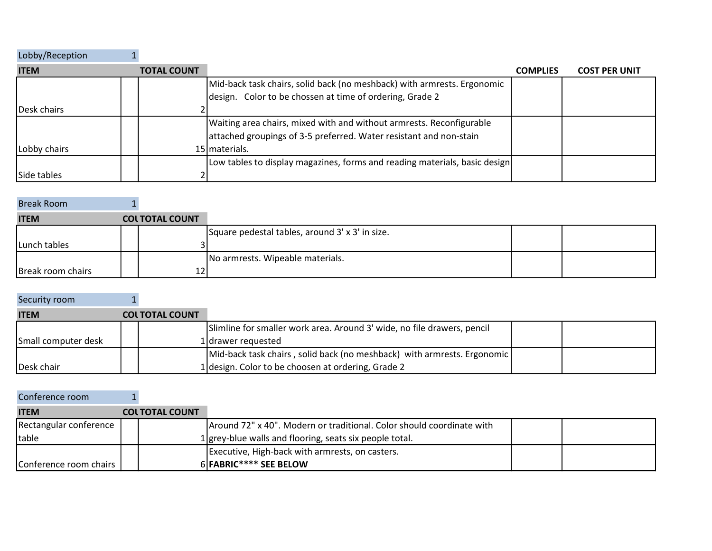| Lobby/Reception     |                    |                                                                            |                 |                      |
|---------------------|--------------------|----------------------------------------------------------------------------|-----------------|----------------------|
| <b>ITEM</b>         | <b>TOTAL COUNT</b> |                                                                            | <b>COMPLIES</b> | <b>COST PER UNIT</b> |
|                     |                    | Mid-back task chairs, solid back (no meshback) with armrests. Ergonomic    |                 |                      |
|                     |                    | design. Color to be chossen at time of ordering, Grade 2                   |                 |                      |
| <b>IDesk chairs</b> |                    |                                                                            |                 |                      |
|                     |                    | Waiting area chairs, mixed with and without armrests. Reconfigurable       |                 |                      |
|                     |                    | attached groupings of 3-5 preferred. Water resistant and non-stain         |                 |                      |
| Lobby chairs        |                    | 15   materials.                                                            |                 |                      |
|                     |                    | Low tables to display magazines, forms and reading materials, basic design |                 |                      |
| Side tables         |                    |                                                                            |                 |                      |

| <b>Break Room</b> |                       |                                                 |  |
|-------------------|-----------------------|-------------------------------------------------|--|
| <b>ITEM</b>       | <b>COLTOTAL COUNT</b> |                                                 |  |
|                   |                       | Square pedestal tables, around 3' x 3' in size. |  |
| Lunch tables      |                       |                                                 |  |
|                   |                       | No armrests. Wipeable materials.                |  |
| Break room chairs |                       |                                                 |  |

| Security room       |                       |                                                                         |  |
|---------------------|-----------------------|-------------------------------------------------------------------------|--|
| <b>ITEM</b>         | <b>COLTOTAL COUNT</b> |                                                                         |  |
|                     |                       | Slimline for smaller work area. Around 3' wide, no file drawers, pencil |  |
| Small computer desk |                       | 1 drawer requested                                                      |  |
|                     |                       | Mid-back task chairs, solid back (no meshback) with armrests. Ergonomic |  |
| Desk chair          |                       | 1 design. Color to be choosen at ordering, Grade 2                      |  |

 $\sim$ 

| Conference room        |                       |                                                                       |  |
|------------------------|-----------------------|-----------------------------------------------------------------------|--|
| <b>ITEM</b>            | <b>COLTOTAL COUNT</b> |                                                                       |  |
| Rectangular conference |                       | Around 72" x 40". Modern or traditional. Color should coordinate with |  |
| <b>Itable</b>          |                       | 1 grey-blue walls and flooring, seats six people total.               |  |
|                        |                       | Executive, High-back with armrests, on casters.                       |  |
| Conference room chairs |                       | 6 FABRIC**** SEE BELOW                                                |  |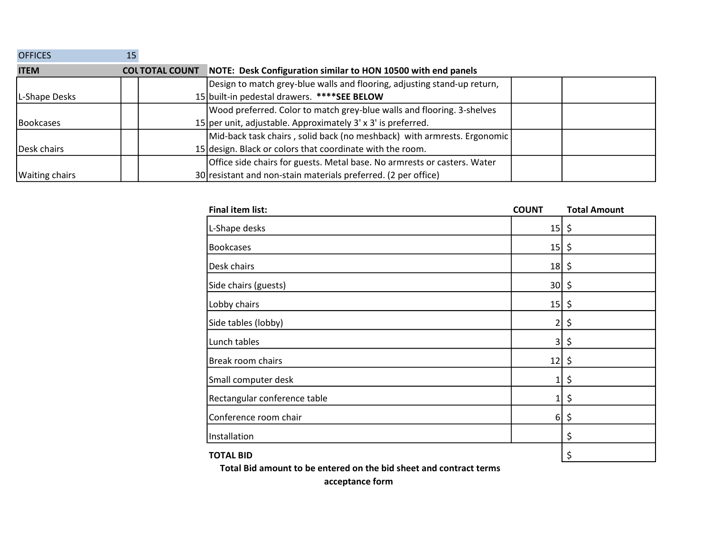| <b>OFFICES</b>        |                       |  |                                                                          |  |
|-----------------------|-----------------------|--|--------------------------------------------------------------------------|--|
| <b>ITEM</b>           | <b>COLTOTAL COUNT</b> |  | NOTE: Desk Configuration similar to HON 10500 with end panels            |  |
|                       |                       |  | Design to match grey-blue walls and flooring, adjusting stand-up return, |  |
| L-Shape Desks         |                       |  | 15 built-in pedestal drawers. **** SEE BELOW                             |  |
|                       |                       |  | Wood preferred. Color to match grey-blue walls and flooring. 3-shelves   |  |
| Bookcases             |                       |  | 15 per unit, adjustable. Approximately $3' \times 3'$ is preferred.      |  |
|                       |                       |  | Mid-back task chairs, solid back (no meshback) with armrests. Ergonomic  |  |
| Desk chairs           |                       |  | 15 design. Black or colors that coordinate with the room.                |  |
|                       |                       |  | Office side chairs for guests. Metal base. No armrests or casters. Water |  |
| <b>Waiting chairs</b> |                       |  | 30 resistant and non-stain materials preferred. (2 per office)           |  |

| <b>Final item list:</b>      | <b>COUNT</b>            | <b>Total Amount</b> |
|------------------------------|-------------------------|---------------------|
| L-Shape desks                | $15 \mid \xi$           |                     |
| <b>Bookcases</b>             | 15                      | \$                  |
| Desk chairs                  | 18                      | \$                  |
| Side chairs (guests)         | 30                      | \$                  |
| Lobby chairs                 | 15                      | \$                  |
| Side tables (lobby)          | $\overline{2}$          | \$                  |
| Lunch tables                 | $\overline{\mathbf{3}}$ | \$                  |
| Break room chairs            | 12                      | \$                  |
| Small computer desk          | 1                       | \$                  |
| Rectangular conference table | $1\vert$                | \$                  |
| Conference room chair        | 6                       | \$                  |
| Installation                 |                         | \$                  |
| <b>TOTAL BID</b>             |                         | \$                  |

Total Bid amount to be entered on the bid sheet and contract terms

acceptance form